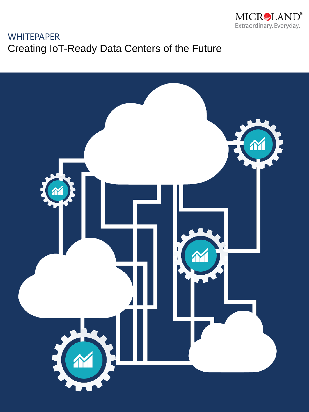

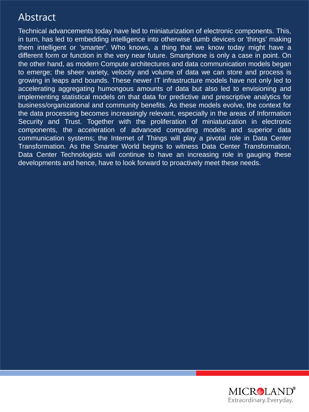## Abstract

Technical advancements today have led to miniaturization of electronic components. This, in turn, has led to embedding intelligence into otherwise dumb devices or 'things' making them intelligent or 'smarter'. Who knows, a thing that we know today might have a different form or function in the very near future. Smartphone is only a case in point. On the other hand, as modern Compute architectures and data communication models began to emerge; the sheer variety, velocity and volume of data we can store and process is growing in leaps and bounds. These newer IT infrastructure models have not only led to accelerating aggregating humongous amounts of data but also led to envisioning and implementing statistical models on that data for predictive and prescriptive analytics for business/organizational and community benefits. As these models evolve, the context for the data processing becomes increasingly relevant, especially in the areas of Information Security and Trust. Together with the proliferation of miniaturization in electronic components, the acceleration of advanced computing models and superior data communication systems; the Internet of Things will play a pivotal role in Data Center Transformation. As the Smarter World begins to witness Data Center Transformation, Data Center Technologists will continue to have an increasing role in gauging these developments and hence, have to look forward to proactively meet these needs.

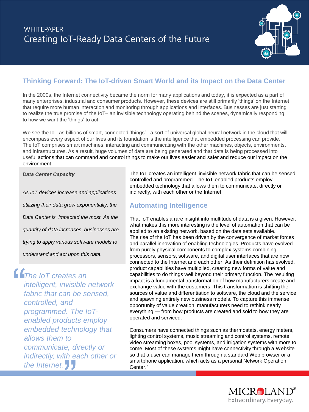

### **Thinking Forward: The IoT-driven Smart World and its Impact on the Data Center**

In the 2000s, the Internet connectivity became the norm for many applications and today, it is expected as a part of many enterprises, industrial and consumer products. However, these devices are still primarily 'things' on the Internet that require more human interaction and monitoring through applications and interfaces. Businesses are just starting to realize the true promise of the IoT– an invisible technology operating behind the scenes, dynamically responding to how we want the 'things' to act.

We see the IoT as billions of smart, connected 'things' - a sort of universal global neural network in the cloud that will encompass every aspect of our lives and its foundation is the intelligence that embedded processing can provide. The IoT comprises smart machines, interacting and communicating with the other machines, objects, environments, and infrastructures. As a result, huge volumes of data are being generated and that data is being processed into useful actions that can command and control things to make our lives easier and safer and reduce our impact on the environment.

*Data Center Capacity*

*As IoT devices increase and applications utilizing their data grow exponentially, the Data Center is impacted the most. As the quantity of data increases, businesses are trying to apply various software models to understand and act upon this data.*

*The IoT creates an intelligent, invisible network fabric that can be sensed, controlled, and programmed. The IoTenabled products employ embedded technology that allows them to*  communicate, directly or<br>
indirectly, with each other<br>
the Internet. *indirectly, with each other or the Internet.*  $\frac{1}{\frac{1}{t}}$ 

The IoT creates an intelligent, invisible network fabric that can be sensed, controlled and programmed. The IoT-enabled products employ embedded technology that allows them to communicate, directly or indirectly, with each other or the Internet.

### **Automating Intelligence**

That IoT enables a rare insight into multitude of data is a given. However, what makes this more interesting is the level of automation that can be applied to an existing network, based on the data sets available. The rise of the IoT has been driven by the convergence of market forces and parallel innovation of enabling technologies. Products have evolved from purely physical components to complex systems combining processors, sensors, software, and digital user interfaces that are now connected to the Internet and each other. As their definition has evolved, product capabilities have multiplied, creating new forms of value and capabilities to do things well beyond their primary function. The resulting impact is a fundamental transformation of how manufacturers create and exchange value with the customers. This transformation is shifting the sources of value and differentiation to software, the cloud and the service and spawning entirely new business models. To capture this immense opportunity of value creation, manufacturers need to rethink nearly everything — from how products are created and sold to how they are operated and serviced.

Consumers have connected things such as thermostats, energy meters, lighting control systems, music streaming and control systems, remote video streaming boxes, pool systems, and irrigation systems with more to come. Most of these systems might have connectivity through a Website so that a user can manage them through a standard Web browser or a smartphone application, which acts as a personal Network Operation Center."

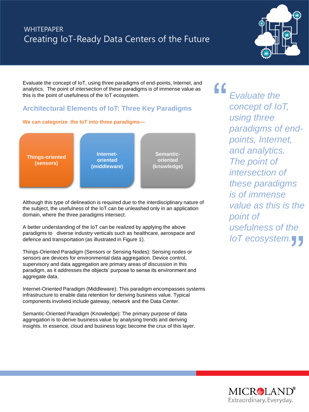

Evaluate the concept of IoT, using three paradigms of end-points, Internet, and analytics. The point of intersection of these paradigms is of immense value as this is the point of usefulness of the IoT ecosystem.

### **Architectural Elements of IoT: Three Key Paradigms**

#### **We can categorize the IoT into three paradigms—**



Although this type of delineation is required due to the interdisciplinary nature of the subject, the usefulness of the IoT can be unleashed only in an application domain, where the three paradigms intersect.

A better understanding of the IoT can be realized by applying the above paradigms to diverse industry verticals such as healthcare, aerospace and defence and transportation (as illustrated in Figure 1).

Things-Oriented Paradigm (Sensors or Sensing Nodes): Sensing nodes or sensors are devices for environmental data aggregation. Device control, supervisory and data aggregation are primary areas of discussion in this paradigm, as it addresses the objects' purpose to sense its environment and aggregate data.

Internet-Oriented Paradigm (Middleware): This paradigm encompasses systems infrastructure to enable data retention for deriving business value. Typical components involved include gateway, network and the Data Center.

Semantic-Oriented Paradigm (Knowledge): The primary purpose of data aggregation is to derive business value by analysing trends and deriving insights. In essence, cloud and business logic become the crux of this layer.

*Evaluate the concept of IoT, using three paradigms of endpoints, Internet, and analytics. The point of intersection of these paradigms is of immense value as this is the point of usefulness of the point of<br>usefulness of the<br>IoT ecosystem.* ―

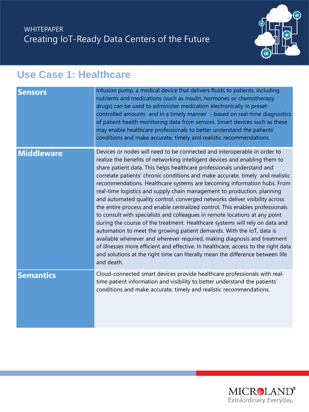

## **Use Case 1: Healthcare**

| <b>Sensors</b>    | Infusion pump, a medical device that delivers fluids to patients, including<br>nutrients and medications (such as insulin, hormones or chemotherapy<br>drugs) can be used to administer medication electronically in preset-<br>controlled amounts and in a timely manner - based on real-time diagnostics<br>of patient health monitoring data from sensors. Smart devices such as these<br>may enable healthcare professionals to better understand the patients'<br>conditions and make accurate, timely and realistic recommendations.                                                                                                                                                                                                                                                                                                                                                                                                                                                                                                                                                                                                          |
|-------------------|-----------------------------------------------------------------------------------------------------------------------------------------------------------------------------------------------------------------------------------------------------------------------------------------------------------------------------------------------------------------------------------------------------------------------------------------------------------------------------------------------------------------------------------------------------------------------------------------------------------------------------------------------------------------------------------------------------------------------------------------------------------------------------------------------------------------------------------------------------------------------------------------------------------------------------------------------------------------------------------------------------------------------------------------------------------------------------------------------------------------------------------------------------|
| <b>Middleware</b> | Devices or nodes will need to be connected and interoperable in order to<br>realize the benefits of networking intelligent devices and enabling them to<br>share patient data. This helps healthcare professionals understand and<br>correlate patients' chronic conditions and make accurate, timely and realistic<br>recommendations. Healthcare systems are becoming information hubs. From<br>real-time logistics and supply chain management to production, planning<br>and automated quality control, converged networks deliver visibility across<br>the entire process and enable centralized control. This enables professionals<br>to consult with specialists and colleagues in remote locations at any point<br>during the course of the treatment. Healthcare systems will rely on data and<br>automation to meet the growing patient demands. With the IoT, data is<br>available whenever and wherever required, making diagnosis and treatment<br>of illnesses more efficient and effective. In healthcare, access to the right data<br>and solutions at the right time can literally mean the difference between life<br>and death. |
| <b>Semantics</b>  | Cloud-connected smart devices provide healthcare professionals with real-<br>time patient information and visibility to better understand the patients'<br>conditions and make accurate, timely and realistic recommendations.                                                                                                                                                                                                                                                                                                                                                                                                                                                                                                                                                                                                                                                                                                                                                                                                                                                                                                                      |

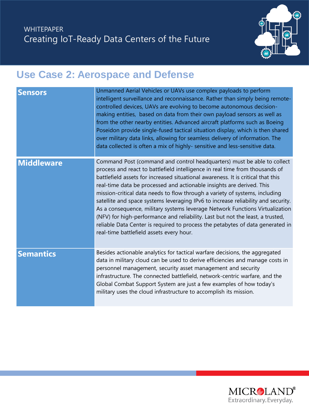

# **Use Case 2: Aerospace and Defense**

| <b>Sensors</b>    | Unmanned Aerial Vehicles or UAVs use complex payloads to perform<br>intelligent surveillance and reconnaissance. Rather than simply being remote-<br>controlled devices, UAVs are evolving to become autonomous decision-<br>making entities, based on data from their own payload sensors as well as<br>from the other nearby entities. Advanced aircraft platforms such as Boeing<br>Poseidon provide single-fused tactical situation display, which is then shared<br>over military data links, allowing for seamless delivery of information. The<br>data collected is often a mix of highly- sensitive and less-sensitive data.                                                                                                                                                     |
|-------------------|------------------------------------------------------------------------------------------------------------------------------------------------------------------------------------------------------------------------------------------------------------------------------------------------------------------------------------------------------------------------------------------------------------------------------------------------------------------------------------------------------------------------------------------------------------------------------------------------------------------------------------------------------------------------------------------------------------------------------------------------------------------------------------------|
| <b>Middleware</b> | Command Post (command and control headquarters) must be able to collect<br>process and react to battlefield intelligence in real time from thousands of<br>battlefield assets for increased situational awareness. It is critical that this<br>real-time data be processed and actionable insights are derived. This<br>mission-critical data needs to flow through a variety of systems, including<br>satellite and space systems leveraging IPv6 to increase reliability and security.<br>As a consequence, military systems leverage Network Functions Virtualization<br>(NFV) for high-performance and reliability. Last but not the least, a trusted,<br>reliable Data Center is required to process the petabytes of data generated in<br>real-time battlefield assets every hour. |
| <b>Semantics</b>  | Besides actionable analytics for tactical warfare decisions, the aggregated<br>data in military cloud can be used to derive efficiencies and manage costs in<br>personnel management, security asset management and security<br>infrastructure. The connected battlefield, network-centric warfare, and the<br>Global Combat Support System are just a few examples of how today's<br>military uses the cloud infrastructure to accomplish its mission.                                                                                                                                                                                                                                                                                                                                  |

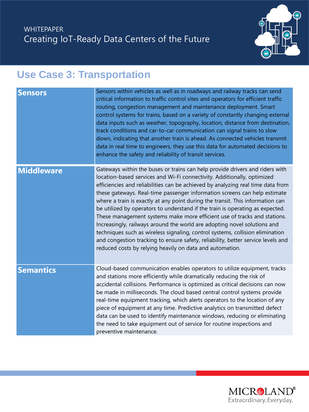

# **Use Case 3: Transportation**

| <b>Sensors</b>    | Sensors within vehicles as well as in roadways and railway tracks can send<br>critical information to traffic control sites and operators for efficient traffic<br>routing, congestion management and maintenance deployment. Smart<br>control systems for trains, based on a variety of constantly changing external<br>data inputs such as weather, topography, location, distance from destination,<br>track conditions and car-to-car communication can signal trains to slow<br>down, indicating that another train is ahead. As connected vehicles transmit<br>data in real time to engineers, they use this data for automated decisions to<br>enhance the safety and reliability of transit services.                                                                                                                                                                       |
|-------------------|-------------------------------------------------------------------------------------------------------------------------------------------------------------------------------------------------------------------------------------------------------------------------------------------------------------------------------------------------------------------------------------------------------------------------------------------------------------------------------------------------------------------------------------------------------------------------------------------------------------------------------------------------------------------------------------------------------------------------------------------------------------------------------------------------------------------------------------------------------------------------------------|
| <b>Middleware</b> | Gateways within the buses or trains can help provide drivers and riders with<br>location-based services and Wi-Fi connectivity. Additionally, optimized<br>efficiencies and reliabilities can be achieved by analyzing real time data from<br>these gateways. Real-time passenger information screens can help estimate<br>where a train is exactly at any point during the transit. This information can<br>be utilized by operators to understand if the train is operating as expected.<br>These management systems make more efficient use of tracks and stations.<br>Increasingly, railways around the world are adopting novel solutions and<br>techniques such as wireless signaling, control systems, collision elimination<br>and congestion tracking to ensure safety, reliability, better service levels and<br>reduced costs by relying heavily on data and automation. |
| <b>Semantics</b>  | Cloud-based communication enables operators to utilize equipment, tracks<br>and stations more efficiently while dramatically reducing the risk of<br>accidental collisions. Performance is optimized as critical decisions can now<br>be made in milliseconds. The cloud based central control systems provide<br>real-time equipment tracking, which alerts operators to the location of any<br>piece of equipment at any time. Predictive analytics on transmitted defect<br>data can be used to identify maintenance windows, reducing or eliminating<br>the need to take equipment out of service for routine inspections and<br>preventive maintenance.                                                                                                                                                                                                                        |

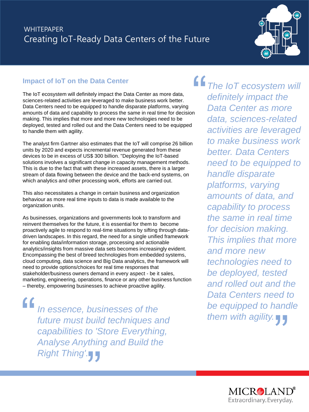

### **Impact of IoT on the Data Center**

The IoT ecosystem will definitely impact the Data Center as more data, sciences-related activities are leveraged to make business work better. Data Centers need to be equipped to handle disparate platforms, varying amounts of data and capability to process the same in real time for decision making. This implies that more and more new technologies need to be deployed, tested and rolled out and the Data Centers need to be equipped to handle them with agility. ―

The analyst firm Gartner also estimates that the IoT will comprise 26 billion units by 2020 and expects incremental revenue generated from these devices to be in excess of US\$ 300 billion. "Deploying the IoT-based solutions involves a significant change in capacity management methods. This is due to the fact that with these increased assets, there is a larger stream of data flowing between the device and the back-end systems, on which analytics and other processing work, efforts are carried out.

This also necessitates a change in certain business and organization behaviour as more real time inputs to data is made available to the organization units.

As businesses, organizations and governments look to transform and reinvent themselves for the future, it is essential for them to become proactively agile to respond to real-time situations by sifting through datadriven landscapes. In this regard, the need for a single unified framework for enabling data/information storage, processing and actionable analytics/insights from massive data sets becomes increasingly evident. Encompassing the best of breed technologies from embedded systems, cloud computing, data science and Big Data analytics, the framework will need to provide options/choices for real time responses that stakeholder/business owners demand in every aspect - be it sales, marketing, engineering, operations, finance or any other business function – thereby, empowering businesses to achieve proactive agility.

*In essence, businesses of the future must build techniques and capabilities to 'Store Everything, Analyse Anything and Build the Right Thing'.* ――

*The IoT ecosystem will definitely impact the Data Center as more data, sciences-related activities are leveraged to make business work better. Data Centers need to be equipped to handle disparate platforms, varying amounts of data, and capability to process the same in real time for decision making. This implies that more and more new technologies need to be deployed, tested and rolled out and the Data Centers need to be equipped to handle them with agility.* ed to<br>andle<br>77

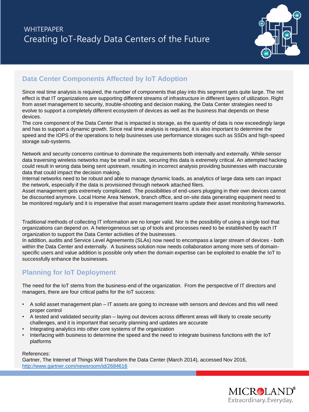

### **Data Center Components Affected by IoT Adoption**

Since real time analysis is required, the number of components that play into this segment gets quite large. The net effect is that IT organizations are supporting different streams of infrastructure in different layers of utilization. Right from asset management to security, trouble-shooting and decision making, the Data Center strategies need to evolve to support a completely different ecosystem of devices as well as the business that depends on these devices.

The core component of the Data Center that is impacted is storage, as the quantity of data is now exceedingly large and has to support a dynamic growth. Since real time analysis is required, it is also important to determine the speed and the IOPS of the operations to help businesses use performance storages such as SSDs and high-speed storage sub-systems.

Network and security concerns continue to dominate the requirements both internally and externally. While sensor data traversing wireless networks may be small in size, securing this data is extremely critical. An attempted hacking could result in wrong data being sent upstream, resulting in incorrect analysis providing businesses with inaccurate data that could impact the decision making.

Internal networks need to be robust and able to manage dynamic loads, as analytics of large data sets can impact the network, especially if the data is provisioned through network attached filers.

Asset management gets extremely complicated. The possibilities of end-users plugging in their own devices cannot be discounted anymore. Local Home Area Network, branch office, and on-site data generating equipment need to be monitored regularly and it is imperative that asset management teams update their asset monitoring frameworks.

Traditional methods of collecting IT information are no longer valid. Nor is the possibility of using a single tool that organizations can depend on. A heterogeneous set up of tools and processes need to be established by each IT organization to support the Data Center activities of the businesses.

In addition, audits and Service Level Agreements (SLAs) now need to encompass a larger stream of devices - both within the Data Center and externally. A business solution now needs collaboration among more sets of domainspecific users and value addition is possible only when the domain expertise can be exploited to enable the IoT to successfully enhance the businesses.

### **Planning for IoT Deployment**

The need for the IoT stems from the business-end of the organization. From the perspective of IT directors and managers, there are four critical paths for the IoT success:

- A solid asset management plan IT assets are going to increase with sensors and devices and this will need proper control
- A tested and validated security plan laying out devices across different areas will likely to create security challenges, and it is important that security planning and updates are accurate
- Integrating analytics into other core systems of the organization
- Interfacing with business to determine the speed and the need to integrate business functions with the IoT platforms

#### References:

Gartner, The Internet of Things Will Transform the Data Center (March 2014), accessed Nov 2016, <http://www.gartner.com/newsroom/id/2684616>

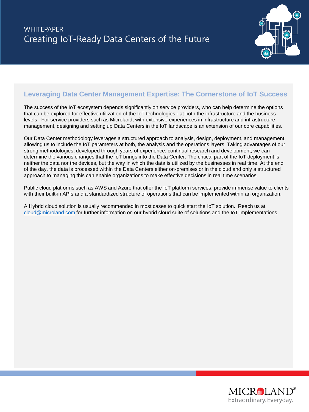

### **Leveraging Data Center Management Expertise: The Cornerstone of IoT Success**

The success of the IoT ecosystem depends significantly on service providers, who can help determine the options that can be explored for effective utilization of the IoT technologies - at both the infrastructure and the business levels. For service providers such as Microland, with extensive experiences in infrastructure and infrastructure management, designing and setting up Data Centers in the IoT landscape is an extension of our core capabilities.

Our Data Center methodology leverages a structured approach to analysis, design, deployment, and management, allowing us to include the IoT parameters at both, the analysis and the operations layers. Taking advantages of our strong methodologies, developed through years of experience, continual research and development, we can determine the various changes that the IoT brings into the Data Center. The critical part of the IoT deployment is neither the data nor the devices, but the way in which the data is utilized by the businesses in real time. At the end of the day, the data is processed within the Data Centers either on-premises or in the cloud and only a structured approach to managing this can enable organizations to make effective decisions in real time scenarios.

Public cloud platforms such as AWS and Azure that offer the IoT platform services, provide immense value to clients with their built-in APIs and a standardized structure of operations that can be implemented within an organization.

A Hybrid cloud solution is usually recommended in most cases to quick start the IoT solution. Reach us at [cloud@microland.com](mailto:cloud@microland.com) for further information on our hybrid cloud suite of solutions and the IoT implementations.

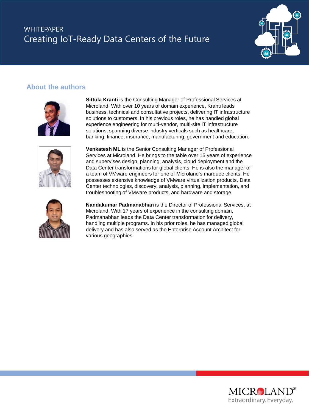

#### **About the authors**



**Sittula Kranti** is the Consulting Manager of Professional Services at Microland. With over 10 years of domain experience, Kranti leads business, technical and consultative projects, delivering IT infrastructure solutions to customers. In his previous roles, he has handled global experience engineering for multi-vendor, multi-site IT infrastructure solutions, spanning diverse industry verticals such as healthcare, banking, finance, insurance, manufacturing, government and education.



**Venkatesh ML** is the Senior Consulting Manager of Professional Services at Microland. He brings to the table over 15 years of experience and supervises design, planning, analysis, cloud deployment and the Data Center transformations for global clients. He is also the manager of a team of VMware engineers for one of Microland's marquee clients. He possesses extensive knowledge of VMware virtualization products, Data Center technologies, discovery, analysis, planning, implementation, and troubleshooting of VMware products, and hardware and storage.



**Nandakumar Padmanabhan** is the Director of Professional Services, at Microland. With 17 years of experience in the consulting domain, Padmanabhan leads the Data Center transformation for delivery, handling multiple programs. In his prior roles, he has managed global delivery and has also served as the Enterprise Account Architect for various geographies.